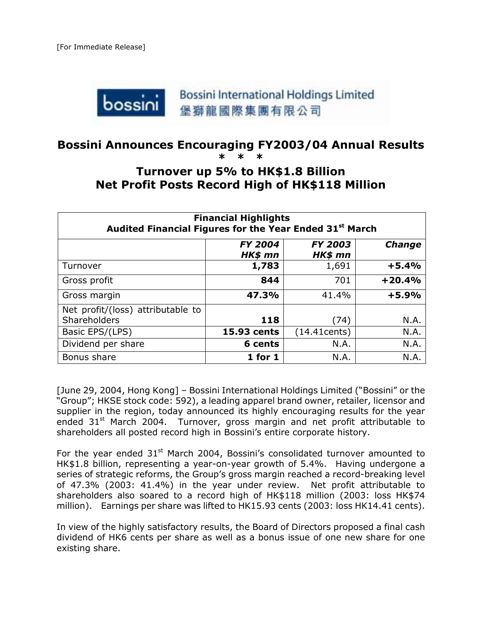

# **Bossini Announces Encouraging FY2003/04 Annual Results**

# **\* \* \***

# **Turnover up 5% to HK\$1.8 Billion Net Profit Posts Record High of HK\$118 Million**

| <b>Financial Highlights</b><br>Audited Financial Figures for the Year Ended 31 <sup>st</sup> March |                           |                           |               |
|----------------------------------------------------------------------------------------------------|---------------------------|---------------------------|---------------|
|                                                                                                    | <b>FY 2004</b><br>HK\$ mn | <b>FY 2003</b><br>HK\$ mn | <b>Change</b> |
| Turnover                                                                                           | 1,783                     | 1,691                     | $+5.4%$       |
| Gross profit                                                                                       | 844                       | 701                       | $+20.4%$      |
| Gross margin                                                                                       | 47.3%                     | 41.4%                     | $+5.9%$       |
| Net profit/(loss) attributable to<br><b>Shareholders</b>                                           | 118                       | (74)                      | N.A.          |
| Basic EPS/(LPS)                                                                                    | 15.93 cents               | (14.41cents)              | N.A.          |
| Dividend per share                                                                                 | 6 cents                   | N.A.                      | N.A.          |
| Bonus share                                                                                        | $1$ for $1$               | N.A.                      | N.A.          |

[June 29, 2004, Hong Kong] – Bossini International Holdings Limited ("Bossini" or the "Group"; HKSE stock code: 592), a leading apparel brand owner, retailer, licensor and supplier in the region, today announced its highly encouraging results for the year ended  $31<sup>st</sup>$  March 2004. Turnover, gross margin and net profit attributable to shareholders all posted record high in Bossini's entire corporate history.

For the year ended  $31<sup>st</sup>$  March 2004, Bossini's consolidated turnover amounted to HK\$1.8 billion, representing a year-on-year growth of 5.4%. Having undergone a series of strategic reforms, the Group's gross margin reached a record-breaking level of 47.3% (2003: 41.4%) in the year under review. Net profit attributable to shareholders also soared to a record high of HK\$118 million (2003: loss HK\$74 million). Earnings per share was lifted to HK15.93 cents (2003: loss HK14.41 cents).

In view of the highly satisfactory results, the Board of Directors proposed a final cash dividend of HK6 cents per share as well as a bonus issue of one new share for one existing share.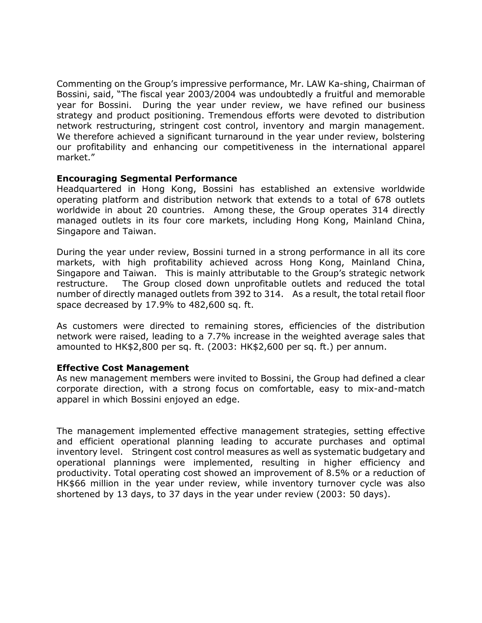Commenting on the Group's impressive performance, Mr. LAW Ka-shing, Chairman of Bossini, said, "The fiscal year 2003/2004 was undoubtedly a fruitful and memorable year for Bossini. During the year under review, we have refined our business strategy and product positioning. Tremendous efforts were devoted to distribution network restructuring, stringent cost control, inventory and margin management. We therefore achieved a significant turnaround in the year under review, bolstering our profitability and enhancing our competitiveness in the international apparel market."

#### **Encouraging Segmental Performance**

Headquartered in Hong Kong, Bossini has established an extensive worldwide operating platform and distribution network that extends to a total of 678 outlets worldwide in about 20 countries. Among these, the Group operates 314 directly managed outlets in its four core markets, including Hong Kong, Mainland China, Singapore and Taiwan.

During the year under review, Bossini turned in a strong performance in all its core markets, with high profitability achieved across Hong Kong, Mainland China, Singapore and Taiwan. This is mainly attributable to the Group's strategic network restructure. The Group closed down unprofitable outlets and reduced the total number of directly managed outlets from 392 to 314. As a result, the total retail floor space decreased by 17.9% to 482,600 sq. ft.

As customers were directed to remaining stores, efficiencies of the distribution network were raised, leading to a 7.7% increase in the weighted average sales that amounted to HK\$2,800 per sq. ft. (2003: HK\$2,600 per sq. ft.) per annum.

#### **Effective Cost Management**

As new management members were invited to Bossini, the Group had defined a clear corporate direction, with a strong focus on comfortable, easy to mix-and-match apparel in which Bossini enjoyed an edge.

The management implemented effective management strategies, setting effective and efficient operational planning leading to accurate purchases and optimal inventory level. Stringent cost control measures as well as systematic budgetary and operational plannings were implemented, resulting in higher efficiency and productivity. Total operating cost showed an improvement of 8.5% or a reduction of HK\$66 million in the year under review, while inventory turnover cycle was also shortened by 13 days, to 37 days in the year under review (2003: 50 days).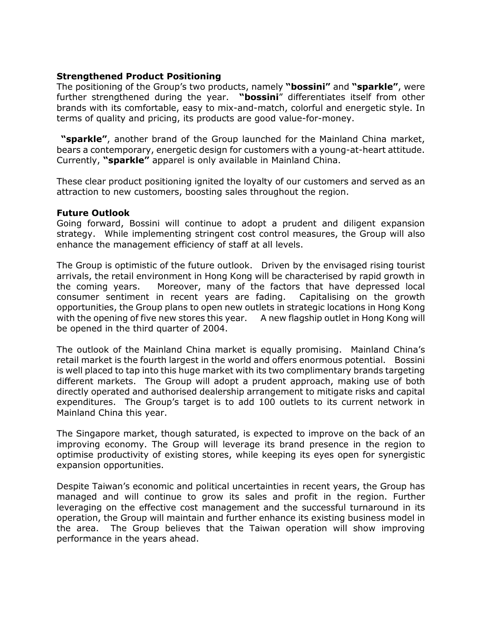### **Strengthened Product Positioning**

The positioning of the Group's two products, namely **"bossini"** and **"sparkle"**, were further strengthened during the year. **"bossini**" differentiates itself from other brands with its comfortable, easy to mix-and-match, colorful and energetic style. In terms of quality and pricing, its products are good value-for-money.

 **"sparkle"**, another brand of the Group launched for the Mainland China market, bears a contemporary, energetic design for customers with a young-at-heart attitude. Currently, **"sparkle"** apparel is only available in Mainland China.

These clear product positioning ignited the loyalty of our customers and served as an attraction to new customers, boosting sales throughout the region.

### **Future Outlook**

Going forward, Bossini will continue to adopt a prudent and diligent expansion strategy. While implementing stringent cost control measures, the Group will also enhance the management efficiency of staff at all levels.

The Group is optimistic of the future outlook. Driven by the envisaged rising tourist arrivals, the retail environment in Hong Kong will be characterised by rapid growth in the coming years. Moreover, many of the factors that have depressed local consumer sentiment in recent years are fading. Capitalising on the growth opportunities, the Group plans to open new outlets in strategic locations in Hong Kong with the opening of five new stores this year. A new flagship outlet in Hong Kong will be opened in the third quarter of 2004.

The outlook of the Mainland China market is equally promising. Mainland China's retail market is the fourth largest in the world and offers enormous potential. Bossini is well placed to tap into this huge market with its two complimentary brands targeting different markets. The Group will adopt a prudent approach, making use of both directly operated and authorised dealership arrangement to mitigate risks and capital expenditures. The Group's target is to add 100 outlets to its current network in Mainland China this year.

The Singapore market, though saturated, is expected to improve on the back of an improving economy. The Group will leverage its brand presence in the region to optimise productivity of existing stores, while keeping its eyes open for synergistic expansion opportunities.

Despite Taiwan's economic and political uncertainties in recent years, the Group has managed and will continue to grow its sales and profit in the region. Further leveraging on the effective cost management and the successful turnaround in its operation, the Group will maintain and further enhance its existing business model in the area. The Group believes that the Taiwan operation will show improving performance in the years ahead.